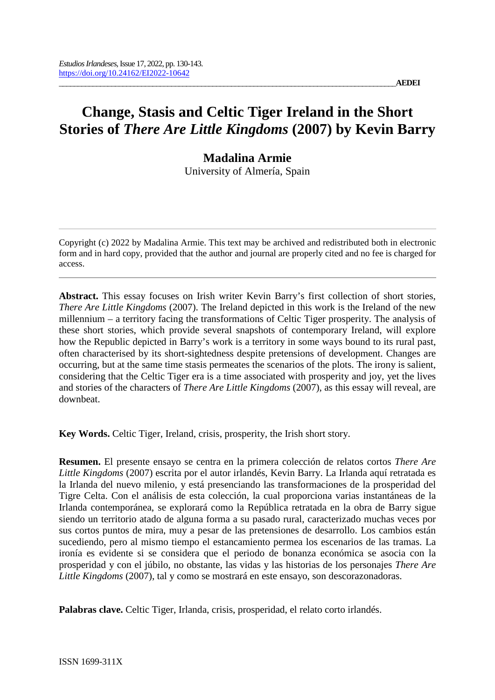# **Change, Stasis and Celtic Tiger Ireland in the Short Stories of** *There Are Little Kingdoms* **(2007) by Kevin Barry**

# **Madalina Armie**

University of Almería, Spain

Copyright (c) 2022 by Madalina Armie. This text may be archived and redistributed both in electronic form and in hard copy, provided that the author and journal are properly cited and no fee is charged for access.

**Abstract.** This essay focuses on Irish writer Kevin Barry's first collection of short stories, *There Are Little Kingdoms* (2007). The Ireland depicted in this work is the Ireland of the new millennium – a territory facing the transformations of Celtic Tiger prosperity. The analysis of these short stories, which provide several snapshots of contemporary Ireland, will explore how the Republic depicted in Barry's work is a territory in some ways bound to its rural past, often characterised by its short-sightedness despite pretensions of development. Changes are occurring, but at the same time stasis permeates the scenarios of the plots. The irony is salient, considering that the Celtic Tiger era is a time associated with prosperity and joy, yet the lives and stories of the characters of *There Are Little Kingdoms* (2007), as this essay will reveal, are downbeat.

**Key Words.** Celtic Tiger, Ireland, crisis, prosperity, the Irish short story.

**Resumen.** El presente ensayo se centra en la primera colección de relatos cortos *There Are Little Kingdoms* (2007) escrita por el autor irlandés, Kevin Barry. La Irlanda aquí retratada es la Irlanda del nuevo milenio, y está presenciando las transformaciones de la prosperidad del Tigre Celta. Con el análisis de esta colección, la cual proporciona varias instantáneas de la Irlanda contemporánea, se explorará como la República retratada en la obra de Barry sigue siendo un territorio atado de alguna forma a su pasado rural, caracterizado muchas veces por sus cortos puntos de mira, muy a pesar de las pretensiones de desarrollo. Los cambios están sucediendo, pero al mismo tiempo el estancamiento permea los escenarios de las tramas. La ironía es evidente si se considera que el periodo de bonanza económica se asocia con la prosperidad y con el júbilo, no obstante, las vidas y las historias de los personajes *There Are Little Kingdoms* (2007), tal y como se mostrará en este ensayo, son descorazonadoras.

**Palabras clave.** Celtic Tiger, Irlanda, crisis, prosperidad, el relato corto irlandés.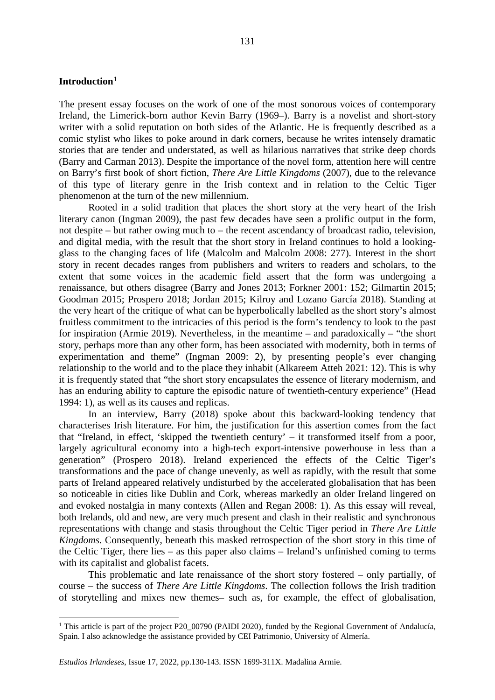# **Introduction[1](#page-1-0)**

The present essay focuses on the work of one of the most sonorous voices of contemporary Ireland, the Limerick-born author Kevin Barry (1969–). Barry is a novelist and short-story writer with a solid reputation on both sides of the Atlantic. He is frequently described as a comic stylist who likes to poke around in dark corners, because he writes intensely dramatic stories that are tender and understated, as well as hilarious narratives that strike deep chords (Barry and Carman 2013). Despite the importance of the novel form, attention here will centre on Barry's first book of short fiction, *There Are Little Kingdoms* (2007), due to the relevance of this type of literary genre in the Irish context and in relation to the Celtic Tiger phenomenon at the turn of the new millennium.

Rooted in a solid tradition that places the short story at the very heart of the Irish literary canon (Ingman 2009), the past few decades have seen a prolific output in the form, not despite – but rather owing much to – the recent ascendancy of broadcast radio, television, and digital media, with the result that the short story in Ireland continues to hold a lookingglass to the changing faces of life (Malcolm and Malcolm 2008: 277). Interest in the short story in recent decades ranges from publishers and writers to readers and scholars, to the extent that some voices in the academic field assert that the form was undergoing a renaissance, but others disagree (Barry and Jones 2013; Forkner 2001: 152; Gilmartin 2015; Goodman 2015; Prospero 2018; Jordan 2015; Kilroy and Lozano García 2018). Standing at the very heart of the critique of what can be hyperbolically labelled as the short story's almost fruitless commitment to the intricacies of this period is the form's tendency to look to the past for inspiration (Armie 2019). Nevertheless, in the meantime – and paradoxically – "the short story, perhaps more than any other form, has been associated with modernity, both in terms of experimentation and theme" (Ingman 2009: 2), by presenting people's ever changing relationship to the world and to the place they inhabit (Alkareem Atteh 2021: 12). This is why it is frequently stated that "the short story encapsulates the essence of literary modernism, and has an enduring ability to capture the episodic nature of twentieth-century experience" (Head 1994: 1), as well as its causes and replicas.

In an interview, Barry (2018) spoke about this backward-looking tendency that characterises Irish literature. For him, the justification for this assertion comes from the fact that "Ireland, in effect, 'skipped the twentieth century' – it transformed itself from a poor, largely agricultural economy into a high-tech export-intensive powerhouse in less than a generation" (Prospero 2018). Ireland experienced the effects of the Celtic Tiger's transformations and the pace of change unevenly, as well as rapidly, with the result that some parts of Ireland appeared relatively undisturbed by the accelerated globalisation that has been so noticeable in cities like Dublin and Cork, whereas markedly an older Ireland lingered on and evoked nostalgia in many contexts (Allen and Regan 2008: 1). As this essay will reveal, both Irelands, old and new, are very much present and clash in their realistic and synchronous representations with change and stasis throughout the Celtic Tiger period in *There Are Little Kingdoms*. Consequently, beneath this masked retrospection of the short story in this time of the Celtic Tiger, there lies – as this paper also claims – Ireland's unfinished coming to terms with its capitalist and globalist facets.

This problematic and late renaissance of the short story fostered – only partially, of course – the success of *There Are Little Kingdoms*. The collection follows the Irish tradition of storytelling and mixes new themes– such as, for example, the effect of globalisation,

<span id="page-1-0"></span><sup>&</sup>lt;sup>1</sup> This article is part of the project P20\_00790 (PAIDI 2020), funded by the Regional Government of Andalucía, Spain. I also acknowledge the assistance provided by CEI Patrimonio, University of Almería.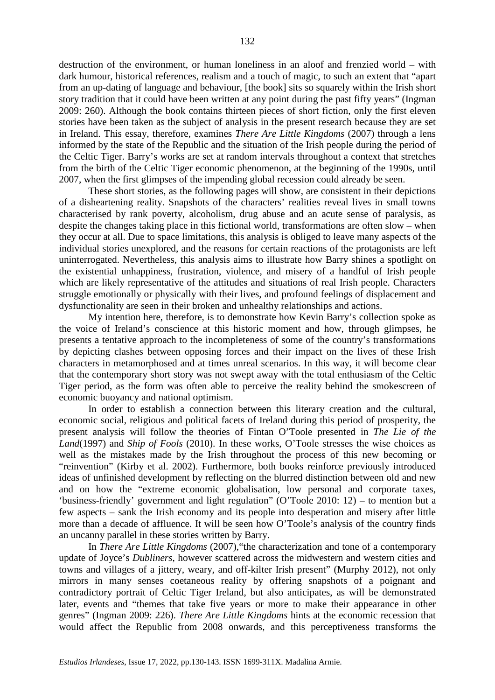destruction of the environment, or human loneliness in an aloof and frenzied world – with dark humour, historical references, realism and a touch of magic, to such an extent that "apart from an up-dating of language and behaviour, [the book] sits so squarely within the Irish short story tradition that it could have been written at any point during the past fifty years" (Ingman 2009: 260). Although the book contains thirteen pieces of short fiction, only the first eleven stories have been taken as the subject of analysis in the present research because they are set in Ireland. This essay, therefore, examines *There Are Little Kingdoms* (2007) through a lens informed by the state of the Republic and the situation of the Irish people during the period of the Celtic Tiger. Barry's works are set at random intervals throughout a context that stretches from the birth of the Celtic Tiger economic phenomenon, at the beginning of the 1990s, until 2007, when the first glimpses of the impending global recession could already be seen.

These short stories, as the following pages will show, are consistent in their depictions of a disheartening reality. Snapshots of the characters' realities reveal lives in small towns characterised by rank poverty, alcoholism, drug abuse and an acute sense of paralysis, as despite the changes taking place in this fictional world, transformations are often slow – when they occur at all. Due to space limitations, this analysis is obliged to leave many aspects of the individual stories unexplored, and the reasons for certain reactions of the protagonists are left uninterrogated. Nevertheless, this analysis aims to illustrate how Barry shines a spotlight on the existential unhappiness, frustration, violence, and misery of a handful of Irish people which are likely representative of the attitudes and situations of real Irish people. Characters struggle emotionally or physically with their lives, and profound feelings of displacement and dysfunctionality are seen in their broken and unhealthy relationships and actions.

My intention here, therefore, is to demonstrate how Kevin Barry's collection spoke as the voice of Ireland's conscience at this historic moment and how, through glimpses, he presents a tentative approach to the incompleteness of some of the country's transformations by depicting clashes between opposing forces and their impact on the lives of these Irish characters in metamorphosed and at times unreal scenarios. In this way, it will become clear that the contemporary short story was not swept away with the total enthusiasm of the Celtic Tiger period, as the form was often able to perceive the reality behind the smokescreen of economic buoyancy and national optimism.

In order to establish a connection between this literary creation and the cultural, economic social, religious and political facets of Ireland during this period of prosperity, the present analysis will follow the theories of Fintan O'Toole presented in *The Lie of the Land*(1997) and *Ship of Fools* (2010). In these works, O'Toole stresses the wise choices as well as the mistakes made by the Irish throughout the process of this new becoming or "reinvention" (Kirby et al. 2002). Furthermore, both books reinforce previously introduced ideas of unfinished development by reflecting on the blurred distinction between old and new and on how the "extreme economic globalisation, low personal and corporate taxes, 'business-friendly' government and light regulation" (O'Toole 2010: 12) – to mention but a few aspects – sank the Irish economy and its people into desperation and misery after little more than a decade of affluence. It will be seen how O'Toole's analysis of the country finds an uncanny parallel in these stories written by Barry.

In *There Are Little Kingdoms* (2007),"the characterization and tone of a contemporary update of Joyce's *Dubliners*, however scattered across the midwestern and western cities and towns and villages of a jittery, weary, and off-kilter Irish present" (Murphy 2012), not only mirrors in many senses coetaneous reality by offering snapshots of a poignant and contradictory portrait of Celtic Tiger Ireland, but also anticipates, as will be demonstrated later, events and "themes that take five years or more to make their appearance in other genres" (Ingman 2009: 226). *There Are Little Kingdoms* hints at the economic recession that would affect the Republic from 2008 onwards, and this perceptiveness transforms the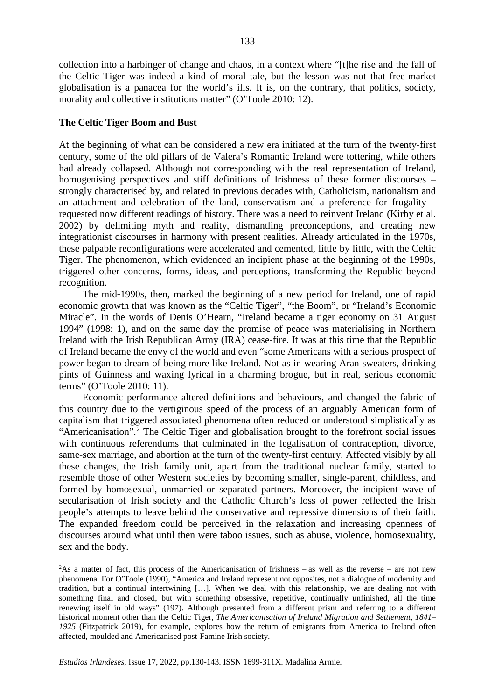collection into a harbinger of change and chaos, in a context where "[t]he rise and the fall of the Celtic Tiger was indeed a kind of moral tale, but the lesson was not that free-market globalisation is a panacea for the world's ills. It is, on the contrary, that politics, society, morality and collective institutions matter" (O'Toole 2010: 12).

#### **The Celtic Tiger Boom and Bust**

At the beginning of what can be considered a new era initiated at the turn of the twenty-first century, some of the old pillars of de Valera's Romantic Ireland were tottering, while others had already collapsed. Although not corresponding with the real representation of Ireland, homogenising perspectives and stiff definitions of Irishness of these former discourses – strongly characterised by, and related in previous decades with, Catholicism, nationalism and an attachment and celebration of the land, conservatism and a preference for frugality – requested now different readings of history. There was a need to reinvent Ireland (Kirby et al. 2002) by delimiting myth and reality, dismantling preconceptions, and creating new integrationist discourses in harmony with present realities. Already articulated in the 1970s, these palpable reconfigurations were accelerated and cemented, little by little, with the Celtic Tiger. The phenomenon, which evidenced an incipient phase at the beginning of the 1990s, triggered other concerns, forms, ideas, and perceptions, transforming the Republic beyond recognition.

The mid-1990s, then, marked the beginning of a new period for Ireland, one of rapid economic growth that was known as the "Celtic Tiger", "the Boom", or "Ireland's Economic Miracle". In the words of Denis O'Hearn, "Ireland became a tiger economy on 31 August 1994" (1998: 1), and on the same day the promise of peace was materialising in Northern Ireland with the Irish Republican Army (IRA) cease-fire. It was at this time that the Republic of Ireland became the envy of the world and even "some Americans with a serious prospect of power began to dream of being more like Ireland. Not as in wearing Aran sweaters, drinking pints of Guinness and waxing lyrical in a charming brogue, but in real, serious economic terms" (O'Toole 2010: 11).

Economic performance altered definitions and behaviours, and changed the fabric of this country due to the vertiginous speed of the process of an arguably American form of capitalism that triggered associated phenomena often reduced or understood simplistically as "Americanisation".<sup>[2](#page-3-0)</sup> The Celtic Tiger and globalisation brought to the forefront social issues with continuous referendums that culminated in the legalisation of contraception, divorce, same-sex marriage, and abortion at the turn of the twenty-first century. Affected visibly by all these changes, the Irish family unit, apart from the traditional nuclear family, started to resemble those of other Western societies by becoming smaller, single-parent, childless, and formed by homosexual, unmarried or separated partners. Moreover, the incipient wave of secularisation of Irish society and the Catholic Church's loss of power reflected the Irish people's attempts to leave behind the conservative and repressive dimensions of their faith. The expanded freedom could be perceived in the relaxation and increasing openness of discourses around what until then were taboo issues, such as abuse, violence, homosexuality, sex and the body.

<span id="page-3-0"></span> $\frac{1}{2}$ <sup>2</sup>As a matter of fact, this process of the Americanisation of Irishness – as well as the reverse – are not new phenomena. For O'Toole (1990), "America and Ireland represent not opposites, not a dialogue of modernity and tradition, but a continual intertwining […]. When we deal with this relationship, we are dealing not with something final and closed, but with something obsessive, repetitive, continually unfinished, all the time renewing itself in old ways" (197). Although presented from a different prism and referring to a different historical moment other than the Celtic Tiger, *The Americanisation of Ireland Migration and Settlement, 1841– 1925* (Fitzpatrick 2019), for example, explores how the return of emigrants from America to Ireland often affected, moulded and Americanised post-Famine Irish society.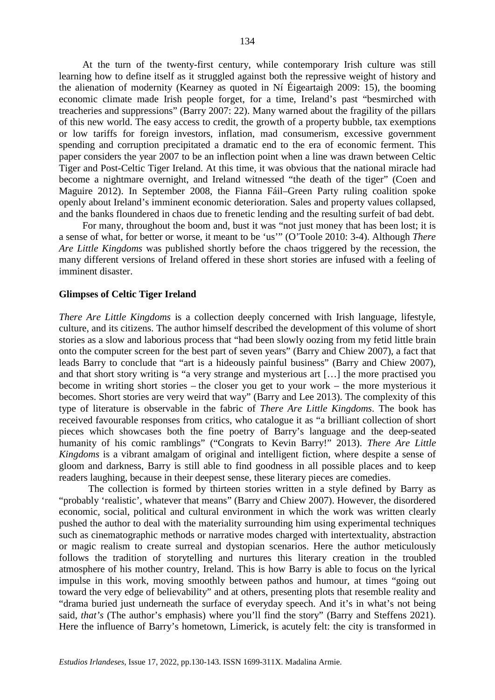At the turn of the twenty-first century, while contemporary Irish culture was still learning how to define itself as it struggled against both the repressive weight of history and the alienation of modernity (Kearney as quoted in Ní Éigeartaigh 2009: 15), the booming economic climate made Irish people forget, for a time, Ireland's past "besmirched with treacheries and suppressions" (Barry 2007: 22). Many warned about the fragility of the pillars of this new world. The easy access to credit, the growth of a property bubble, tax exemptions or low tariffs for foreign investors, inflation, mad consumerism, excessive government spending and corruption precipitated a dramatic end to the era of economic ferment. This paper considers the year 2007 to be an inflection point when a line was drawn between Celtic Tiger and Post-Celtic Tiger Ireland. At this time, it was obvious that the national miracle had become a nightmare overnight, and Ireland witnessed "the death of the tiger" (Coen and Maguire 2012). In September 2008, the Fianna Fáil–Green Party ruling coalition spoke openly about Ireland's imminent economic deterioration. Sales and property values collapsed, and the banks floundered in chaos due to frenetic lending and the resulting surfeit of bad debt.

For many, throughout the boom and, bust it was "not just money that has been lost; it is a sense of what, for better or worse, it meant to be 'us'" (O'Toole 2010: 3-4). Although *There Are Little Kingdoms* was published shortly before the chaos triggered by the recession, the many different versions of Ireland offered in these short stories are infused with a feeling of imminent disaster

#### **Glimpses of Celtic Tiger Ireland**

*There Are Little Kingdoms* is a collection deeply concerned with Irish language, lifestyle, culture, and its citizens. The author himself described the development of this volume of short stories as a slow and laborious process that "had been slowly oozing from my fetid little brain onto the computer screen for the best part of seven years" (Barry and Chiew 2007), a fact that leads Barry to conclude that "art is a hideously painful business" (Barry and Chiew 2007), and that short story writing is "a very strange and mysterious art […] the more practised you become in writing short stories – the closer you get to your work – the more mysterious it becomes. Short stories are very weird that way" (Barry and Lee 2013). The complexity of this type of literature is observable in the fabric of *There Are Little Kingdoms*. The book has received favourable responses from critics, who catalogue it as "a brilliant collection of short pieces which showcases both the fine poetry of Barry's language and the deep-seated humanity of his comic ramblings" ("Congrats to Kevin Barry!" 2013). *There Are Little Kingdoms* is a vibrant amalgam of original and intelligent fiction, where despite a sense of gloom and darkness, Barry is still able to find goodness in all possible places and to keep readers laughing, because in their deepest sense, these literary pieces are comedies.

The collection is formed by thirteen stories written in a style defined by Barry as "probably 'realistic', whatever that means" (Barry and Chiew 2007). However, the disordered economic, social, political and cultural environment in which the work was written clearly pushed the author to deal with the materiality surrounding him using experimental techniques such as cinematographic methods or narrative modes charged with intertextuality, abstraction or magic realism to create surreal and dystopian scenarios. Here the author meticulously follows the tradition of storytelling and nurtures this literary creation in the troubled atmosphere of his mother country, Ireland. This is how Barry is able to focus on the lyrical impulse in this work, moving smoothly between pathos and humour, at times "going out toward the very edge of believability" and at others, presenting plots that resemble reality and "drama buried just underneath the surface of everyday speech. And it's in what's not being said, *that's* (The author's emphasis) where you'll find the story" (Barry and Steffens 2021). Here the influence of Barry's hometown, Limerick, is acutely felt: the city is transformed in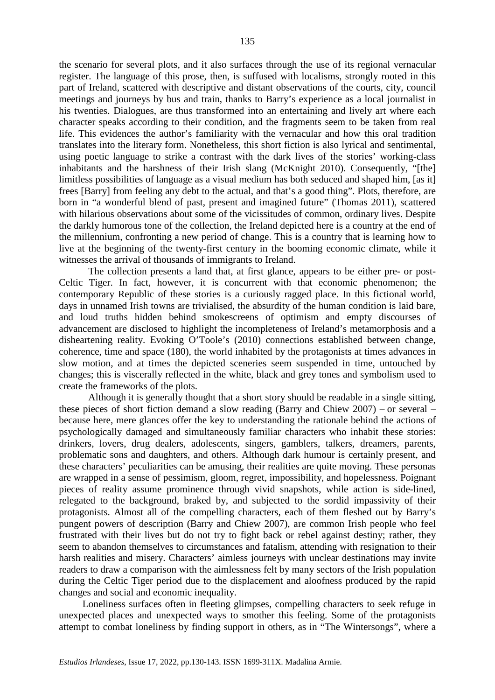the scenario for several plots, and it also surfaces through the use of its regional vernacular register. The language of this prose, then, is suffused with localisms, strongly rooted in this part of Ireland, scattered with descriptive and distant observations of the courts, city, council meetings and journeys by bus and train, thanks to Barry's experience as a local journalist in his twenties. Dialogues, are thus transformed into an entertaining and lively art where each character speaks according to their condition, and the fragments seem to be taken from real life. This evidences the author's familiarity with the vernacular and how this oral tradition translates into the literary form. Nonetheless, this short fiction is also lyrical and sentimental, using poetic language to strike a contrast with the dark lives of the stories' working-class inhabitants and the harshness of their Irish slang (McKnight 2010). Consequently, "[the] limitless possibilities of language as a visual medium has both seduced and shaped him, [as it] frees [Barry] from feeling any debt to the actual, and that's a good thing". Plots, therefore, are born in "a wonderful blend of past, present and imagined future" (Thomas 2011), scattered with hilarious observations about some of the vicissitudes of common, ordinary lives. Despite the darkly humorous tone of the collection, the Ireland depicted here is a country at the end of the millennium, confronting a new period of change. This is a country that is learning how to live at the beginning of the twenty-first century in the booming economic climate, while it witnesses the arrival of thousands of immigrants to Ireland.

The collection presents a land that, at first glance, appears to be either pre- or post-Celtic Tiger. In fact, however, it is concurrent with that economic phenomenon; the contemporary Republic of these stories is a curiously ragged place. In this fictional world, days in unnamed Irish towns are trivialised, the absurdity of the human condition is laid bare, and loud truths hidden behind smokescreens of optimism and empty discourses of advancement are disclosed to highlight the incompleteness of Ireland's metamorphosis and a disheartening reality. Evoking O'Toole's (2010) connections established between change, coherence, time and space (180), the world inhabited by the protagonists at times advances in slow motion, and at times the depicted sceneries seem suspended in time, untouched by changes; this is viscerally reflected in the white, black and grey tones and symbolism used to create the frameworks of the plots.

Although it is generally thought that a short story should be readable in a single sitting, these pieces of short fiction demand a slow reading (Barry and Chiew 2007) – or several – because here, mere glances offer the key to understanding the rationale behind the actions of psychologically damaged and simultaneously familiar characters who inhabit these stories: drinkers, lovers, drug dealers, adolescents, singers, gamblers, talkers, dreamers, parents, problematic sons and daughters, and others. Although dark humour is certainly present, and these characters' peculiarities can be amusing, their realities are quite moving. These personas are wrapped in a sense of pessimism, gloom, regret, impossibility, and hopelessness. Poignant pieces of reality assume prominence through vivid snapshots, while action is side-lined, relegated to the background, braked by, and subjected to the sordid impassivity of their protagonists. Almost all of the compelling characters, each of them fleshed out by Barry's pungent powers of description (Barry and Chiew 2007), are common Irish people who feel frustrated with their lives but do not try to fight back or rebel against destiny; rather, they seem to abandon themselves to circumstances and fatalism, attending with resignation to their harsh realities and misery. Characters' aimless journeys with unclear destinations may invite readers to draw a comparison with the aimlessness felt by many sectors of the Irish population during the Celtic Tiger period due to the displacement and aloofness produced by the rapid changes and social and economic inequality.

Loneliness surfaces often in fleeting glimpses, compelling characters to seek refuge in unexpected places and unexpected ways to smother this feeling. Some of the protagonists attempt to combat loneliness by finding support in others, as in "The Wintersongs", where a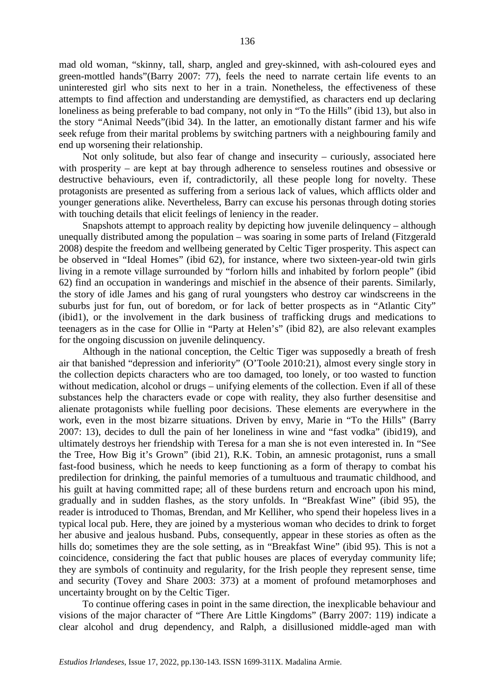mad old woman, "skinny, tall, sharp, angled and grey-skinned, with ash-coloured eyes and green-mottled hands"(Barry 2007: 77), feels the need to narrate certain life events to an uninterested girl who sits next to her in a train. Nonetheless, the effectiveness of these attempts to find affection and understanding are demystified, as characters end up declaring loneliness as being preferable to bad company, not only in "To the Hills" (ibid 13), but also in the story "Animal Needs"(ibid 34). In the latter, an emotionally distant farmer and his wife seek refuge from their marital problems by switching partners with a neighbouring family and end up worsening their relationship.

Not only solitude, but also fear of change and insecurity – curiously, associated here with prosperity – are kept at bay through adherence to senseless routines and obsessive or destructive behaviours, even if, contradictorily, all these people long for novelty. These protagonists are presented as suffering from a serious lack of values, which afflicts older and younger generations alike. Nevertheless, Barry can excuse his personas through doting stories with touching details that elicit feelings of leniency in the reader.

Snapshots attempt to approach reality by depicting how juvenile delinquency – although unequally distributed among the population – was soaring in some parts of Ireland (Fitzgerald 2008) despite the freedom and wellbeing generated by Celtic Tiger prosperity. This aspect can be observed in "Ideal Homes" (ibid 62), for instance, where two sixteen-year-old twin girls living in a remote village surrounded by "forlorn hills and inhabited by forlorn people" (ibid 62) find an occupation in wanderings and mischief in the absence of their parents. Similarly, the story of idle James and his gang of rural youngsters who destroy car windscreens in the suburbs just for fun, out of boredom, or for lack of better prospects as in "Atlantic City" (ibid1), or the involvement in the dark business of trafficking drugs and medications to teenagers as in the case for Ollie in "Party at Helen's" (ibid 82), are also relevant examples for the ongoing discussion on juvenile delinquency.

Although in the national conception, the Celtic Tiger was supposedly a breath of fresh air that banished "depression and inferiority" (O'Toole 2010:21), almost every single story in the collection depicts characters who are too damaged, too lonely, or too wasted to function without medication, alcohol or drugs – unifying elements of the collection. Even if all of these substances help the characters evade or cope with reality, they also further desensitise and alienate protagonists while fuelling poor decisions. These elements are everywhere in the work, even in the most bizarre situations. Driven by envy, Marie in "To the Hills" (Barry 2007: 13), decides to dull the pain of her loneliness in wine and "fast vodka" (ibid19), and ultimately destroys her friendship with Teresa for a man she is not even interested in. In "See the Tree, How Big it's Grown" (ibid 21), R.K. Tobin, an amnesic protagonist, runs a small fast-food business, which he needs to keep functioning as a form of therapy to combat his predilection for drinking, the painful memories of a tumultuous and traumatic childhood, and his guilt at having committed rape; all of these burdens return and encroach upon his mind, gradually and in sudden flashes, as the story unfolds. In "Breakfast Wine" (ibid 95), the reader is introduced to Thomas, Brendan, and Mr Kelliher, who spend their hopeless lives in a typical local pub. Here, they are joined by a mysterious woman who decides to drink to forget her abusive and jealous husband. Pubs, consequently, appear in these stories as often as the hills do; sometimes they are the sole setting, as in "Breakfast Wine" (ibid 95). This is not a coincidence, considering the fact that public houses are places of everyday community life; they are symbols of continuity and regularity, for the Irish people they represent sense, time and security (Tovey and Share 2003: 373) at a moment of profound metamorphoses and uncertainty brought on by the Celtic Tiger.

To continue offering cases in point in the same direction, the inexplicable behaviour and visions of the major character of "There Are Little Kingdoms" (Barry 2007: 119) indicate a clear alcohol and drug dependency, and Ralph, a disillusioned middle-aged man with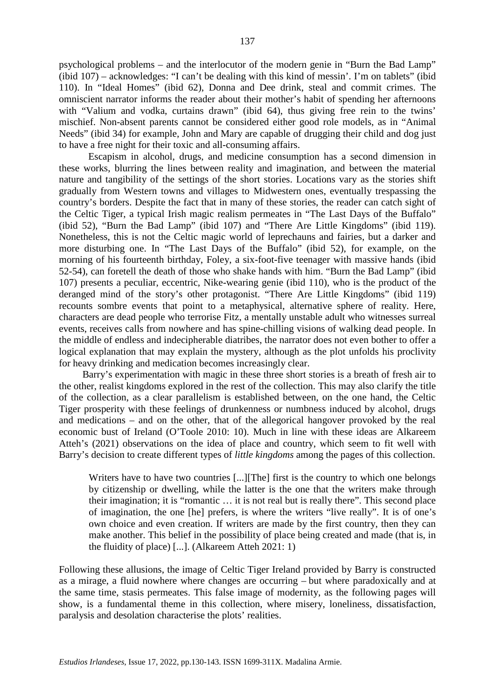psychological problems – and the interlocutor of the modern genie in "Burn the Bad Lamp" (ibid 107) – acknowledges: "I can't be dealing with this kind of messin'. I'm on tablets" (ibid 110). In "Ideal Homes" (ibid 62), Donna and Dee drink, steal and commit crimes. The omniscient narrator informs the reader about their mother's habit of spending her afternoons with "Valium and vodka, curtains drawn" (ibid 64), thus giving free rein to the twins' mischief. Non-absent parents cannot be considered either good role models, as in "Animal Needs" (ibid 34) for example, John and Mary are capable of drugging their child and dog just to have a free night for their toxic and all-consuming affairs.

Escapism in alcohol, drugs, and medicine consumption has a second dimension in these works, blurring the lines between reality and imagination, and between the material nature and tangibility of the settings of the short stories. Locations vary as the stories shift gradually from Western towns and villages to Midwestern ones, eventually trespassing the country's borders. Despite the fact that in many of these stories, the reader can catch sight of the Celtic Tiger, a typical Irish magic realism permeates in "The Last Days of the Buffalo" (ibid 52), "Burn the Bad Lamp" (ibid 107) and "There Are Little Kingdoms" (ibid 119). Nonetheless, this is not the Celtic magic world of leprechauns and fairies, but a darker and more disturbing one. In "The Last Days of the Buffalo" (ibid 52), for example, on the morning of his fourteenth birthday, Foley, a six-foot-five teenager with massive hands (ibid 52-54), can foretell the death of those who shake hands with him. "Burn the Bad Lamp" (ibid 107) presents a peculiar, eccentric, Nike-wearing genie (ibid 110), who is the product of the deranged mind of the story's other protagonist. "There Are Little Kingdoms" (ibid 119) recounts sombre events that point to a metaphysical, alternative sphere of reality. Here, characters are dead people who terrorise Fitz, a mentally unstable adult who witnesses surreal events, receives calls from nowhere and has spine-chilling visions of walking dead people. In the middle of endless and indecipherable diatribes, the narrator does not even bother to offer a logical explanation that may explain the mystery, although as the plot unfolds his proclivity for heavy drinking and medication becomes increasingly clear.

Barry's experimentation with magic in these three short stories is a breath of fresh air to the other, realist kingdoms explored in the rest of the collection. This may also clarify the title of the collection, as a clear parallelism is established between, on the one hand, the Celtic Tiger prosperity with these feelings of drunkenness or numbness induced by alcohol, drugs and medications – and on the other, that of the allegorical hangover provoked by the real economic bust of Ireland (O'Toole 2010: 10). Much in line with these ideas are Alkareem Atteh's (2021) observations on the idea of place and country, which seem to fit well with Barry's decision to create different types of *little kingdoms* among the pages of this collection.

Writers have to have two countries [...][The] first is the country to which one belongs by citizenship or dwelling, while the latter is the one that the writers make through their imagination; it is "romantic … it is not real but is really there". This second place of imagination, the one [he] prefers, is where the writers "live really". It is of one's own choice and even creation. If writers are made by the first country, then they can make another. This belief in the possibility of place being created and made (that is, in the fluidity of place) [...]. (Alkareem Atteh 2021: 1)

Following these allusions, the image of Celtic Tiger Ireland provided by Barry is constructed as a mirage, a fluid nowhere where changes are occurring – but where paradoxically and at the same time, stasis permeates. This false image of modernity, as the following pages will show, is a fundamental theme in this collection, where misery, loneliness, dissatisfaction, paralysis and desolation characterise the plots' realities.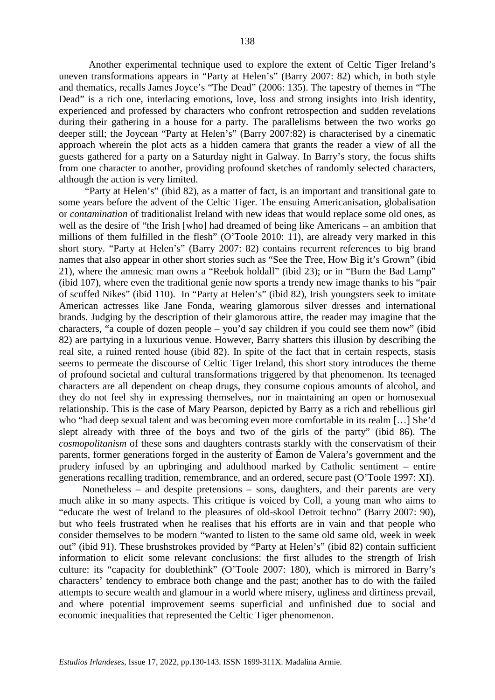Another experimental technique used to explore the extent of Celtic Tiger Ireland's uneven transformations appears in "Party at Helen's" (Barry 2007: 82) which, in both style and thematics, recalls James Joyce's "The Dead" (2006: 135). The tapestry of themes in "The Dead" is a rich one, interlacing emotions, love, loss and strong insights into Irish identity, experienced and professed by characters who confront retrospection and sudden revelations during their gathering in a house for a party. The parallelisms between the two works go deeper still; the Joycean "Party at Helen's" (Barry 2007:82) is characterised by a cinematic approach wherein the plot acts as a hidden camera that grants the reader a view of all the guests gathered for a party on a Saturday night in Galway. In Barry's story, the focus shifts from one character to another, providing profound sketches of randomly selected characters, although the action is very limited.

"Party at Helen's" (ibid 82), as a matter of fact, is an important and transitional gate to some years before the advent of the Celtic Tiger. The ensuing Americanisation, globalisation or *contamination* of traditionalist Ireland with new ideas that would replace some old ones, as well as the desire of "the Irish [who] had dreamed of being like Americans – an ambition that millions of them fulfilled in the flesh" (O'Toole 2010: 11), are already very marked in this short story. "Party at Helen's" (Barry 2007: 82) contains recurrent references to big brand names that also appear in other short stories such as "See the Tree, How Big it's Grown" (ibid 21), where the amnesic man owns a "Reebok holdall" (ibid 23); or in "Burn the Bad Lamp" (ibid 107), where even the traditional genie now sports a trendy new image thanks to his "pair of scuffed Nikes" (ibid 110). In "Party at Helen's" (ibid 82), Irish youngsters seek to imitate American actresses like Jane Fonda, wearing glamorous silver dresses and international brands. Judging by the description of their glamorous attire, the reader may imagine that the characters, "a couple of dozen people – you'd say children if you could see them now" (ibid 82) are partying in a luxurious venue. However, Barry shatters this illusion by describing the real site, a ruined rented house (ibid 82). In spite of the fact that in certain respects, stasis seems to permeate the discourse of Celtic Tiger Ireland, this short story introduces the theme of profound societal and cultural transformations triggered by that phenomenon. Its teenaged characters are all dependent on cheap drugs, they consume copious amounts of alcohol, and they do not feel shy in expressing themselves, nor in maintaining an open or homosexual relationship. This is the case of Mary Pearson, depicted by Barry as a rich and rebellious girl who "had deep sexual talent and was becoming even more comfortable in its realm […] She'd slept already with three of the boys and two of the girls of the party" (ibid 86). The *cosmopolitanism* of these sons and daughters contrasts starkly with the conservatism of their parents, former generations forged in the austerity of Éamon de Valera's government and the prudery infused by an upbringing and adulthood marked by Catholic sentiment – entire generations recalling tradition, remembrance, and an ordered, secure past (O'Toole 1997: XI).

Nonetheless – and despite pretensions – sons, daughters, and their parents are very much alike in so many aspects. This critique is voiced by Coll, a young man who aims to "educate the west of Ireland to the pleasures of old-skool Detroit techno" (Barry 2007: 90), but who feels frustrated when he realises that his efforts are in vain and that people who consider themselves to be modern "wanted to listen to the same old same old, week in week out" (ibid 91). These brushstrokes provided by "Party at Helen's" (ibid 82) contain sufficient information to elicit some relevant conclusions: the first alludes to the strength of Irish culture: its "capacity for doublethink" (O'Toole 2007: 180), which is mirrored in Barry's characters' tendency to embrace both change and the past; another has to do with the failed attempts to secure wealth and glamour in a world where misery, ugliness and dirtiness prevail, and where potential improvement seems superficial and unfinished due to social and economic inequalities that represented the Celtic Tiger phenomenon.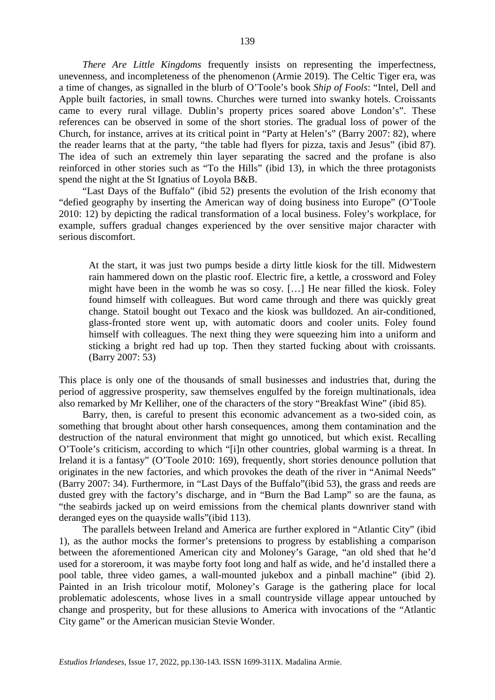*There Are Little Kingdoms* frequently insists on representing the imperfectness, unevenness, and incompleteness of the phenomenon (Armie 2019). The Celtic Tiger era, was a time of changes, as signalled in the blurb of O'Toole's book *Ship of Fools*: "Intel, Dell and Apple built factories, in small towns. Churches were turned into swanky hotels. Croissants came to every rural village. Dublin's property prices soared above London's". These references can be observed in some of the short stories. The gradual loss of power of the Church, for instance, arrives at its critical point in "Party at Helen's" (Barry 2007: 82), where the reader learns that at the party, "the table had flyers for pizza, taxis and Jesus" (ibid 87). The idea of such an extremely thin layer separating the sacred and the profane is also reinforced in other stories such as "To the Hills" (ibid 13), in which the three protagonists spend the night at the St Ignatius of Loyola B&B.

"Last Days of the Buffalo" (ibid 52) presents the evolution of the Irish economy that "defied geography by inserting the American way of doing business into Europe" (O'Toole 2010: 12) by depicting the radical transformation of a local business. Foley's workplace, for example, suffers gradual changes experienced by the over sensitive major character with serious discomfort.

At the start, it was just two pumps beside a dirty little kiosk for the till. Midwestern rain hammered down on the plastic roof. Electric fire, a kettle, a crossword and Foley might have been in the womb he was so cosy. […] He near filled the kiosk. Foley found himself with colleagues. But word came through and there was quickly great change. Statoil bought out Texaco and the kiosk was bulldozed. An air-conditioned, glass-fronted store went up, with automatic doors and cooler units. Foley found himself with colleagues. The next thing they were squeezing him into a uniform and sticking a bright red had up top. Then they started fucking about with croissants. (Barry 2007: 53)

This place is only one of the thousands of small businesses and industries that, during the period of aggressive prosperity, saw themselves engulfed by the foreign multinationals, idea also remarked by Mr Kelliher, one of the characters of the story "Breakfast Wine" (ibid 85).

Barry, then, is careful to present this economic advancement as a two-sided coin, as something that brought about other harsh consequences, among them contamination and the destruction of the natural environment that might go unnoticed, but which exist. Recalling O'Toole's criticism, according to which "[i]n other countries, global warming is a threat. In Ireland it is a fantasy" (O'Toole 2010: 169), frequently, short stories denounce pollution that originates in the new factories, and which provokes the death of the river in "Animal Needs" (Barry 2007: 34). Furthermore, in "Last Days of the Buffalo"(ibid 53), the grass and reeds are dusted grey with the factory's discharge, and in "Burn the Bad Lamp" so are the fauna, as "the seabirds jacked up on weird emissions from the chemical plants downriver stand with deranged eyes on the quayside walls"(ibid 113).

The parallels between Ireland and America are further explored in "Atlantic City" (ibid 1), as the author mocks the former's pretensions to progress by establishing a comparison between the aforementioned American city and Moloney's Garage, "an old shed that he'd used for a storeroom, it was maybe forty foot long and half as wide, and he'd installed there a pool table, three video games, a wall-mounted jukebox and a pinball machine" (ibid 2). Painted in an Irish tricolour motif, Moloney's Garage is the gathering place for local problematic adolescents, whose lives in a small countryside village appear untouched by change and prosperity, but for these allusions to America with invocations of the "Atlantic City game" or the American musician Stevie Wonder.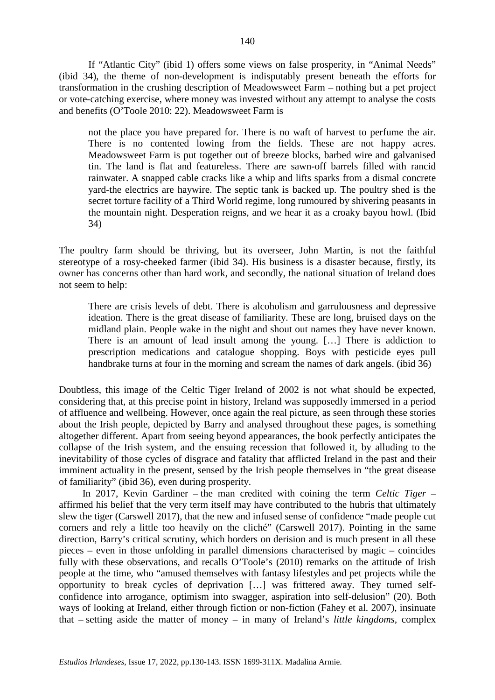If "Atlantic City" (ibid 1) offers some views on false prosperity, in "Animal Needs" (ibid 34), the theme of non-development is indisputably present beneath the efforts for transformation in the crushing description of Meadowsweet Farm – nothing but a pet project or vote-catching exercise, where money was invested without any attempt to analyse the costs and benefits (O'Toole 2010: 22). Meadowsweet Farm is

not the place you have prepared for. There is no waft of harvest to perfume the air. There is no contented lowing from the fields. These are not happy acres. Meadowsweet Farm is put together out of breeze blocks, barbed wire and galvanised tin. The land is flat and featureless. There are sawn-off barrels filled with rancid rainwater. A snapped cable cracks like a whip and lifts sparks from a dismal concrete yard-the electrics are haywire. The septic tank is backed up. The poultry shed is the secret torture facility of a Third World regime, long rumoured by shivering peasants in the mountain night. Desperation reigns, and we hear it as a croaky bayou howl. (Ibid 34)

The poultry farm should be thriving, but its overseer, John Martin, is not the faithful stereotype of a rosy-cheeked farmer (ibid 34). His business is a disaster because, firstly, its owner has concerns other than hard work, and secondly, the national situation of Ireland does not seem to help:

There are crisis levels of debt. There is alcoholism and garrulousness and depressive ideation. There is the great disease of familiarity. These are long, bruised days on the midland plain. People wake in the night and shout out names they have never known. There is an amount of lead insult among the young. […] There is addiction to prescription medications and catalogue shopping. Boys with pesticide eyes pull handbrake turns at four in the morning and scream the names of dark angels. (ibid 36)

Doubtless, this image of the Celtic Tiger Ireland of 2002 is not what should be expected, considering that, at this precise point in history, Ireland was supposedly immersed in a period of affluence and wellbeing. However, once again the real picture, as seen through these stories about the Irish people, depicted by Barry and analysed throughout these pages, is something altogether different. Apart from seeing beyond appearances, the book perfectly anticipates the collapse of the Irish system, and the ensuing recession that followed it, by alluding to the inevitability of those cycles of disgrace and fatality that afflicted Ireland in the past and their imminent actuality in the present, sensed by the Irish people themselves in "the great disease of familiarity" (ibid 36), even during prosperity.

In 2017, Kevin Gardiner – the man credited with coining the term *Celtic Tiger* – affirmed his belief that the very term itself may have contributed to the hubris that ultimately slew the tiger (Carswell 2017), that the new and infused sense of confidence "made people cut corners and rely a little too heavily on the cliché" (Carswell 2017). Pointing in the same direction, Barry's critical scrutiny, which borders on derision and is much present in all these pieces – even in those unfolding in parallel dimensions characterised by magic – coincides fully with these observations, and recalls O'Toole's (2010) remarks on the attitude of Irish people at the time, who "amused themselves with fantasy lifestyles and pet projects while the opportunity to break cycles of deprivation […] was frittered away. They turned selfconfidence into arrogance, optimism into swagger, aspiration into self-delusion" (20). Both ways of looking at Ireland, either through fiction or non-fiction (Fahey et al. 2007), insinuate that – setting aside the matter of money – in many of Ireland's *little kingdoms,* complex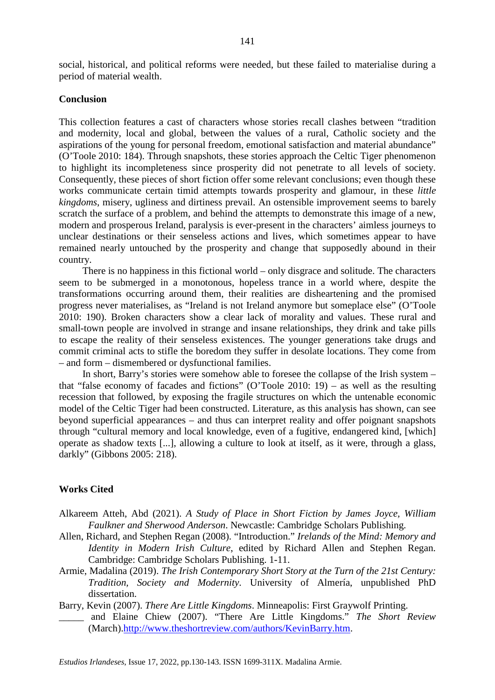### **Conclusion**

This collection features a cast of characters whose stories recall clashes between "tradition and modernity, local and global, between the values of a rural, Catholic society and the aspirations of the young for personal freedom, emotional satisfaction and material abundance" (O'Toole 2010: 184). Through snapshots, these stories approach the Celtic Tiger phenomenon to highlight its incompleteness since prosperity did not penetrate to all levels of society. Consequently, these pieces of short fiction offer some relevant conclusions; even though these works communicate certain timid attempts towards prosperity and glamour, in these *little kingdoms*, misery, ugliness and dirtiness prevail. An ostensible improvement seems to barely scratch the surface of a problem, and behind the attempts to demonstrate this image of a new, modern and prosperous Ireland, paralysis is ever-present in the characters' aimless journeys to unclear destinations or their senseless actions and lives, which sometimes appear to have remained nearly untouched by the prosperity and change that supposedly abound in their country.

There is no happiness in this fictional world – only disgrace and solitude. The characters seem to be submerged in a monotonous, hopeless trance in a world where, despite the transformations occurring around them, their realities are disheartening and the promised progress never materialises, as "Ireland is not Ireland anymore but someplace else" (O'Toole 2010: 190). Broken characters show a clear lack of morality and values. These rural and small-town people are involved in strange and insane relationships, they drink and take pills to escape the reality of their senseless existences. The younger generations take drugs and commit criminal acts to stifle the boredom they suffer in desolate locations. They come from – and form – dismembered or dysfunctional families.

In short, Barry's stories were somehow able to foresee the collapse of the Irish system – that "false economy of facades and fictions" (O'Toole 2010: 19) – as well as the resulting recession that followed, by exposing the fragile structures on which the untenable economic model of the Celtic Tiger had been constructed. Literature, as this analysis has shown, can see beyond superficial appearances – and thus can interpret reality and offer poignant snapshots through "cultural memory and local knowledge, even of a fugitive, endangered kind, [which] operate as shadow texts [...], allowing a culture to look at itself, as it were, through a glass, darkly" (Gibbons 2005: 218).

# **Works Cited**

- Alkareem Atteh, Abd (2021). *A Study of Place in Short Fiction by James Joyce, William Faulkner and Sherwood Anderson*. Newcastle: Cambridge Scholars Publishing.
- Allen, Richard, and Stephen Regan (2008). "Introduction." *Irelands of the Mind: Memory and Identity in Modern Irish Culture*, edited by Richard Allen and Stephen Regan. Cambridge: Cambridge Scholars Publishing. 1-11.
- Armie, Madalina (2019). *The Irish Contemporary Short Story at the Turn of the 21st Century: Tradition, Society and Modernity*. University of Almería, unpublished PhD dissertation.

Barry, Kevin (2007). *There Are Little Kingdoms*. Minneapolis: First Graywolf Printing. \_\_\_\_\_ and Elaine Chiew (2007). "There Are Little Kingdoms." *The Short Review*

(March)[.http://www.theshortreview.com/authors/KevinBarry.htm.](http://www.theshortreview.com/authors/KevinBarry.htm)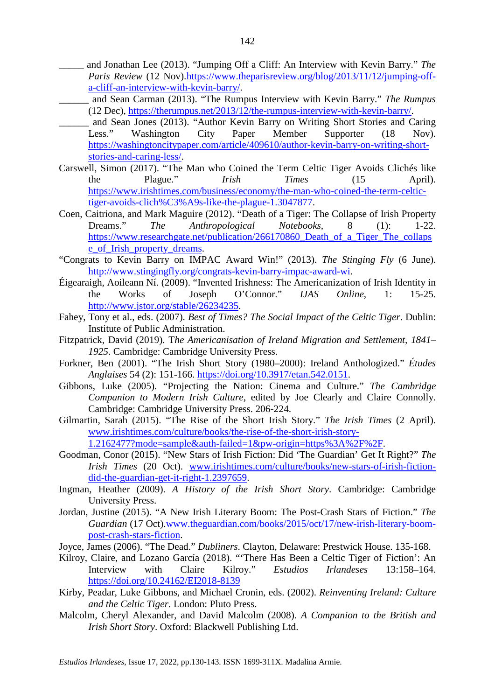- \_\_\_\_\_ and Jonathan Lee (2013). "Jumping Off a Cliff: An Interview with Kevin Barry." *The Paris Review* (12 Nov)[.https://www.theparisreview.org/blog/2013/11/12/jumping-off](https://www.theparisreview.org/blog/2013/11/12/jumping-off-a-cliff-an-interview-with-kevin-barry/)[a-cliff-an-interview-with-kevin-barry/.](https://www.theparisreview.org/blog/2013/11/12/jumping-off-a-cliff-an-interview-with-kevin-barry/)
- \_\_\_\_\_\_ and Sean Carman (2013). "The Rumpus Interview with Kevin Barry." *The Rumpus* (12 Dec), [https://therumpus.net/2013/12/the-rumpus-interview-with-kevin-barry/.](https://therumpus.net/2013/12/the-rumpus-interview-with-kevin-barry/)
- \_\_\_\_\_\_ and Sean Jones (2013). "Author Kevin Barry on Writing Short Stories and Caring Less." Washington City Paper Member Supporter (18 Nov). [https://washingtoncitypaper.com/article/409610/author-kevin-barry-on-writing-short](https://washingtoncitypaper.com/article/409610/author-kevin-barry-on-writing-short-stories-and-caring-less/)[stories-and-caring-less/.](https://washingtoncitypaper.com/article/409610/author-kevin-barry-on-writing-short-stories-and-caring-less/)
- Carswell, Simon (2017). "The Man who Coined the Term Celtic Tiger Avoids Clichés like the Plague." *Irish Times* (15 April). [https://www.irishtimes.com/business/economy/the-man-who-coined-the-term-celtic](https://www.irishtimes.com/business/economy/the-man-who-coined-the-term-celtic-tiger-avoids-clich%C3%A9s-like-the-plague-1.3047877)[tiger-avoids-clich%C3%A9s-like-the-plague-1.3047877.](https://www.irishtimes.com/business/economy/the-man-who-coined-the-term-celtic-tiger-avoids-clich%C3%A9s-like-the-plague-1.3047877)
- Coen, Caitriona, and Mark Maguire (2012). "Death of a Tiger: The Collapse of Irish Property Dreams." *The Anthropological Notebooks*, 8 (1): 1-22. [https://www.researchgate.net/publication/266170860\\_Death\\_of\\_a\\_Tiger\\_The\\_collaps](https://www.researchgate.net/publication/266170860_Death_of_a_Tiger_The_collapse_of_Irish_property_dreams) [e\\_of\\_Irish\\_property\\_dreams.](https://www.researchgate.net/publication/266170860_Death_of_a_Tiger_The_collapse_of_Irish_property_dreams)
- "Congrats to Kevin Barry on IMPAC Award Win!" (2013). *The Stinging Fly* (6 June). [http://www.stingingfly.org/congrats-kevin-barry-impac-award-wi.](http://www.stingingfly.org/congrats-kevin-barry-impac-award-wi)
- Éigearaigh, Aoileann Ní. (2009). "Invented Irishness: The Americanization of Irish Identity in the Works of Joseph O'Connor." *IJAS Online*, 1: 15-25. [http://www.jstor.org/stable/26234235.](http://www.jstor.org/stable/26234235)
- Fahey, Tony et al., eds. (2007). *Best of Times? The Social Impact of the Celtic Tiger*. Dublin: Institute of Public Administration.
- Fitzpatrick, David (2019). T*he Americanisation of Ireland Migration and Settlement, 1841– 1925*. Cambridge: Cambridge University Press.
- Forkner, Ben (2001). "The Irish Short Story (1980–2000): Ireland Anthologized." *Études Anglaises* 54 (2): 151-166. [https://doi.org/10.3917/etan.542.0151.](https://doi.org/10.3917/etan.542.0151)
- Gibbons, Luke (2005). "Projecting the Nation: Cinema and Culture." *The Cambridge Companion to Modern Irish Culture*, edited by Joe Clearly and Claire Connolly. Cambridge: Cambridge University Press. 206-224.
- Gilmartin, Sarah (2015). "The Rise of the Short Irish Story." *The Irish Times* (2 April). [www.irishtimes.com/culture/books/the-rise-of-the-short-irish-story-](http://www.irishtimes.com/culture/books/the-rise-of-the-short-irish-story-1.2162477?mode=sample&auth-failed=1&pw-origin=https%3A%2F%2F)[1.2162477?mode=sample&auth-failed=1&pw-origin=https%3A%2F%2F.](http://www.irishtimes.com/culture/books/the-rise-of-the-short-irish-story-1.2162477?mode=sample&auth-failed=1&pw-origin=https%3A%2F%2F)
- Goodman, Conor (2015). "New Stars of Irish Fiction: Did 'The Guardian' Get It Right?" *The Irish Times* (20 Oct). [www.irishtimes.com/culture/books/new-stars-of-irish-fiction](http://www.irishtimes.com/culture/books/new-stars-of-irish-fiction-did-the-guardian-get-it-right-1.2397659)[did-the-guardian-get-it-right-1.2397659.](http://www.irishtimes.com/culture/books/new-stars-of-irish-fiction-did-the-guardian-get-it-right-1.2397659)
- Ingman, Heather (2009). *A History of the Irish Short Story*. Cambridge: Cambridge University Press.
- Jordan, Justine (2015). "A New Irish Literary Boom: The Post-Crash Stars of Fiction." *The Guardian* (17 Oct)[.www.theguardian.com/books/2015/oct/17/new-irish-literary-boom](http://www.theguardian.com/books/2015/oct/17/new-irish-literary-boom-post-crash-stars-fiction)[post-crash-stars-fiction.](http://www.theguardian.com/books/2015/oct/17/new-irish-literary-boom-post-crash-stars-fiction)
- Joyce, James (2006). "The Dead." *Dubliners*. Clayton, Delaware: Prestwick House. 135-168.
- Kilroy, Claire, and Lozano García (2018). "'There Has Been a Celtic Tiger of Fiction': An Interview with Claire Kilroy." *Estudios Irlandeses* 13:158–164. <https://doi.org/10.24162/EI2018-8139>
- Kirby, Peadar, Luke Gibbons, and Michael Cronin, eds. (2002). *Reinventing Ireland: Culture and the Celtic Tiger*. London: Pluto Press.
- Malcolm, Cheryl Alexander, and David Malcolm (2008). *A Companion to the British and Irish Short Story*. Oxford: Blackwell Publishing Ltd.